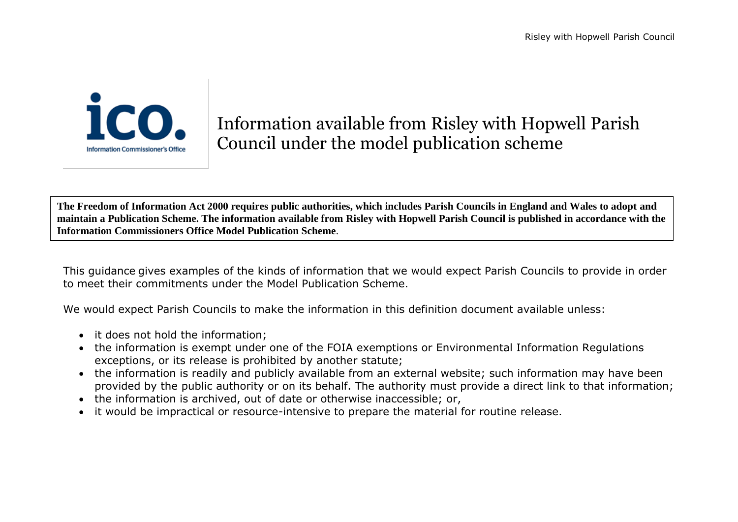

## Information available from Risley with Hopwell Parish Council under the model publication scheme

**The Freedom of Information Act 2000 requires public authorities, which includes Parish Councils in England and Wales to adopt and maintain a Publication Scheme. The information available from Risley with Hopwell Parish Council is published in accordance with the Information Commissioners Office Model Publication Scheme**.

This guidance gives examples of the kinds of information that we would expect Parish Councils to provide in order to meet their commitments under the Model Publication Scheme.

We would expect Parish Councils to make the information in this definition document available unless:

- it does not hold the information;
- the information is exempt under one of the FOIA exemptions or Environmental Information Regulations exceptions, or its release is prohibited by another statute;
- the information is readily and publicly available from an external website; such information may have been provided by the public authority or on its behalf. The authority must provide a direct link to that information;
- the information is archived, out of date or otherwise inaccessible; or,
- it would be impractical or resource-intensive to prepare the material for routine release.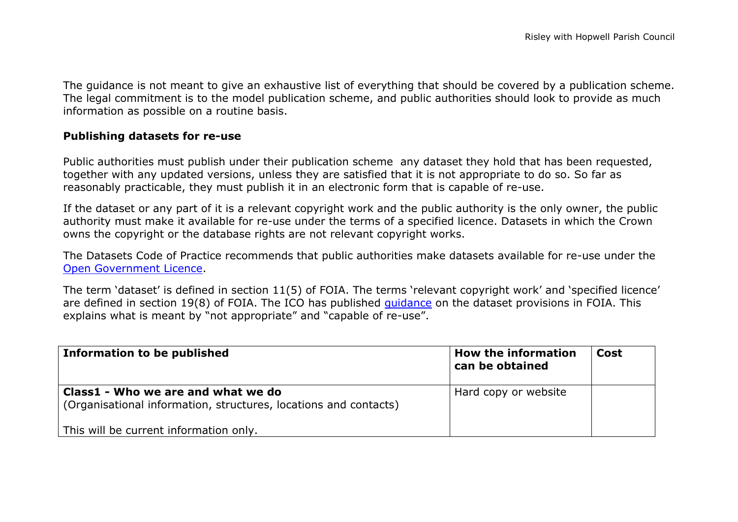The guidance is not meant to give an exhaustive list of everything that should be covered by a publication scheme. The legal commitment is to the model publication scheme, and public authorities should look to provide as much information as possible on a routine basis.

## **Publishing datasets for re-use**

Public authorities must publish under their publication scheme any dataset they hold that has been requested, together with any updated versions, unless they are satisfied that it is not appropriate to do so. So far as reasonably practicable, they must publish it in an electronic form that is capable of re-use.

If the dataset or any part of it is a relevant copyright work and the public authority is the only owner, the public authority must make it available for re-use under the terms of a specified licence. Datasets in which the Crown owns the copyright or the database rights are not relevant copyright works.

The Datasets Code of Practice recommends that public authorities make datasets available for re-use under the [Open Government Licence.](http://www.nationalarchives.gov.uk/doc/open-government-licence/version/2/)

The term 'dataset' is defined in section 11(5) of FOIA. The terms 'relevant copyright work' and 'specified licence' are defined in section 19(8) of FOIA. The ICO has published [guidance](http://www.ico.org.uk/for_organisations/guidance_index/~/media/documents/library/Freedom_of_Information/Detailed_specialist_guides/datasets-foi-guidance.pdf) on the dataset provisions in FOIA. This explains what is meant by "not appropriate" and "capable of re-use".

| Information to be published                                                                            | <b>How the information</b><br>can be obtained | Cost |
|--------------------------------------------------------------------------------------------------------|-----------------------------------------------|------|
| Class1 - Who we are and what we do<br>(Organisational information, structures, locations and contacts) | Hard copy or website                          |      |
| This will be current information only.                                                                 |                                               |      |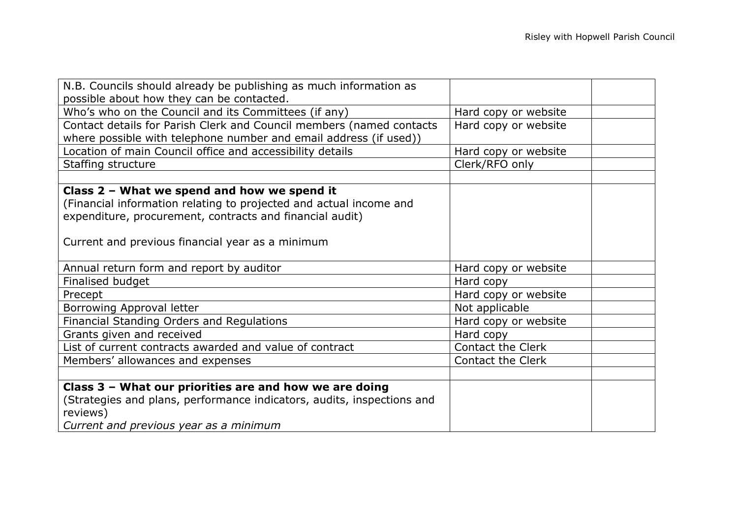| N.B. Councils should already be publishing as much information as      |                          |
|------------------------------------------------------------------------|--------------------------|
| possible about how they can be contacted.                              |                          |
| Who's who on the Council and its Committees (if any)                   | Hard copy or website     |
| Contact details for Parish Clerk and Council members (named contacts   | Hard copy or website     |
| where possible with telephone number and email address (if used))      |                          |
| Location of main Council office and accessibility details              | Hard copy or website     |
| Staffing structure                                                     | Clerk/RFO only           |
|                                                                        |                          |
| Class 2 - What we spend and how we spend it                            |                          |
| (Financial information relating to projected and actual income and     |                          |
| expenditure, procurement, contracts and financial audit)               |                          |
|                                                                        |                          |
| Current and previous financial year as a minimum                       |                          |
|                                                                        |                          |
| Annual return form and report by auditor                               | Hard copy or website     |
| Finalised budget                                                       | Hard copy                |
| Precept                                                                | Hard copy or website     |
| Borrowing Approval letter                                              | Not applicable           |
| Financial Standing Orders and Regulations                              | Hard copy or website     |
| Grants given and received                                              | Hard copy                |
| List of current contracts awarded and value of contract                | <b>Contact the Clerk</b> |
| Members' allowances and expenses                                       | <b>Contact the Clerk</b> |
|                                                                        |                          |
| Class 3 - What our priorities are and how we are doing                 |                          |
| (Strategies and plans, performance indicators, audits, inspections and |                          |
| reviews)                                                               |                          |
| Current and previous year as a minimum                                 |                          |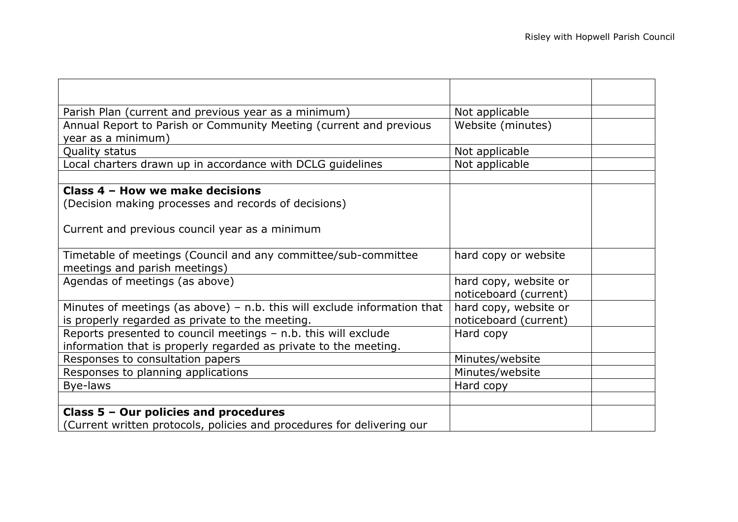| Parish Plan (current and previous year as a minimum)                       | Not applicable        |  |
|----------------------------------------------------------------------------|-----------------------|--|
| Annual Report to Parish or Community Meeting (current and previous         | Website (minutes)     |  |
| year as a minimum)                                                         |                       |  |
| Quality status                                                             | Not applicable        |  |
| Local charters drawn up in accordance with DCLG guidelines                 | Not applicable        |  |
|                                                                            |                       |  |
| Class 4 - How we make decisions                                            |                       |  |
| (Decision making processes and records of decisions)                       |                       |  |
|                                                                            |                       |  |
| Current and previous council year as a minimum                             |                       |  |
|                                                                            |                       |  |
| Timetable of meetings (Council and any committee/sub-committee             | hard copy or website  |  |
| meetings and parish meetings)                                              |                       |  |
| Agendas of meetings (as above)                                             | hard copy, website or |  |
|                                                                            | noticeboard (current) |  |
| Minutes of meetings (as above) $-$ n.b. this will exclude information that | hard copy, website or |  |
| is properly regarded as private to the meeting.                            | noticeboard (current) |  |
| Reports presented to council meetings - n.b. this will exclude             | Hard copy             |  |
| information that is properly regarded as private to the meeting.           |                       |  |
| Responses to consultation papers                                           | Minutes/website       |  |
| Responses to planning applications                                         | Minutes/website       |  |
| Bye-laws                                                                   | Hard copy             |  |
|                                                                            |                       |  |
| Class 5 - Our policies and procedures                                      |                       |  |
| (Current written protocols, policies and procedures for delivering our     |                       |  |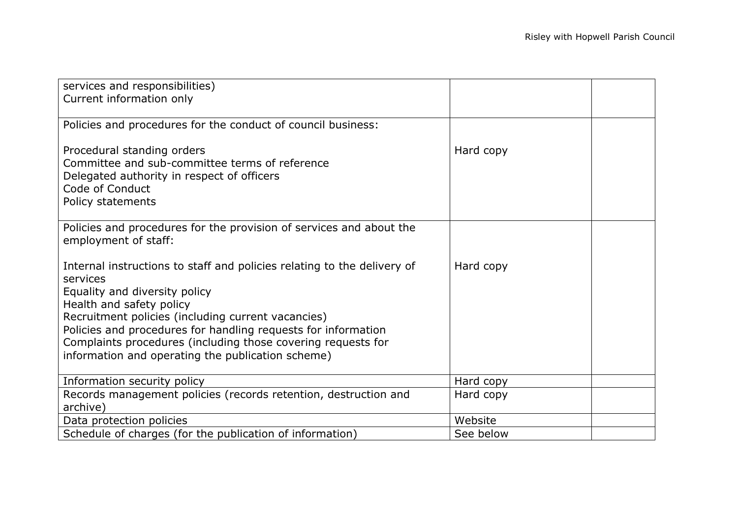| services and responsibilities)<br>Current information only                                                                                                         |           |  |
|--------------------------------------------------------------------------------------------------------------------------------------------------------------------|-----------|--|
|                                                                                                                                                                    |           |  |
| Policies and procedures for the conduct of council business:                                                                                                       |           |  |
| Procedural standing orders<br>Committee and sub-committee terms of reference<br>Delegated authority in respect of officers<br>Code of Conduct<br>Policy statements | Hard copy |  |
| Policies and procedures for the provision of services and about the                                                                                                |           |  |
| employment of staff:                                                                                                                                               |           |  |
| Internal instructions to staff and policies relating to the delivery of<br>services                                                                                | Hard copy |  |
| Equality and diversity policy                                                                                                                                      |           |  |
| Health and safety policy<br>Recruitment policies (including current vacancies)                                                                                     |           |  |
| Policies and procedures for handling requests for information                                                                                                      |           |  |
| Complaints procedures (including those covering requests for                                                                                                       |           |  |
| information and operating the publication scheme)                                                                                                                  |           |  |
| Information security policy                                                                                                                                        | Hard copy |  |
| Records management policies (records retention, destruction and<br>archive)                                                                                        | Hard copy |  |
| Data protection policies                                                                                                                                           | Website   |  |
| Schedule of charges (for the publication of information)                                                                                                           | See below |  |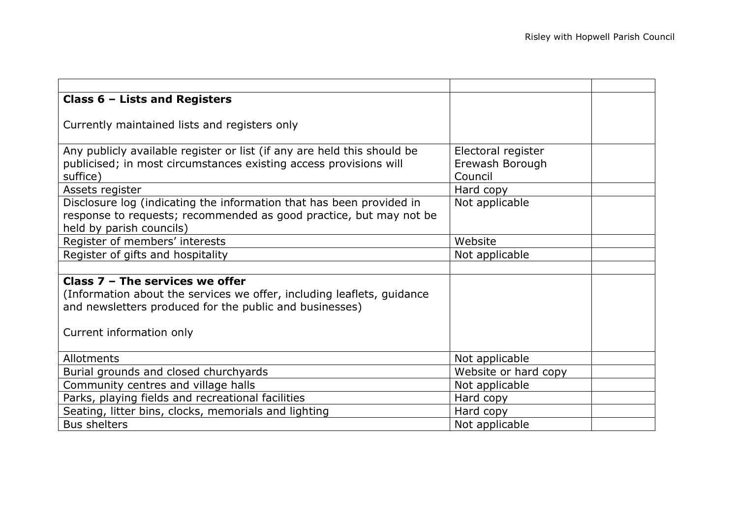| Class $6$ – Lists and Registers                                         |                      |  |
|-------------------------------------------------------------------------|----------------------|--|
|                                                                         |                      |  |
| Currently maintained lists and registers only                           |                      |  |
|                                                                         |                      |  |
| Any publicly available register or list (if any are held this should be | Electoral register   |  |
| publicised; in most circumstances existing access provisions will       | Erewash Borough      |  |
| suffice)                                                                | Council              |  |
| Assets register                                                         | Hard copy            |  |
| Disclosure log (indicating the information that has been provided in    | Not applicable       |  |
| response to requests; recommended as good practice, but may not be      |                      |  |
| held by parish councils)                                                |                      |  |
| Register of members' interests                                          | Website              |  |
| Register of gifts and hospitality                                       | Not applicable       |  |
|                                                                         |                      |  |
| Class $7 -$ The services we offer                                       |                      |  |
| (Information about the services we offer, including leaflets, guidance  |                      |  |
| and newsletters produced for the public and businesses)                 |                      |  |
|                                                                         |                      |  |
| Current information only                                                |                      |  |
|                                                                         |                      |  |
| Allotments                                                              | Not applicable       |  |
| Burial grounds and closed churchyards                                   | Website or hard copy |  |
| Community centres and village halls                                     | Not applicable       |  |
| Parks, playing fields and recreational facilities                       | Hard copy            |  |
| Seating, litter bins, clocks, memorials and lighting                    | Hard copy            |  |
| <b>Bus shelters</b>                                                     | Not applicable       |  |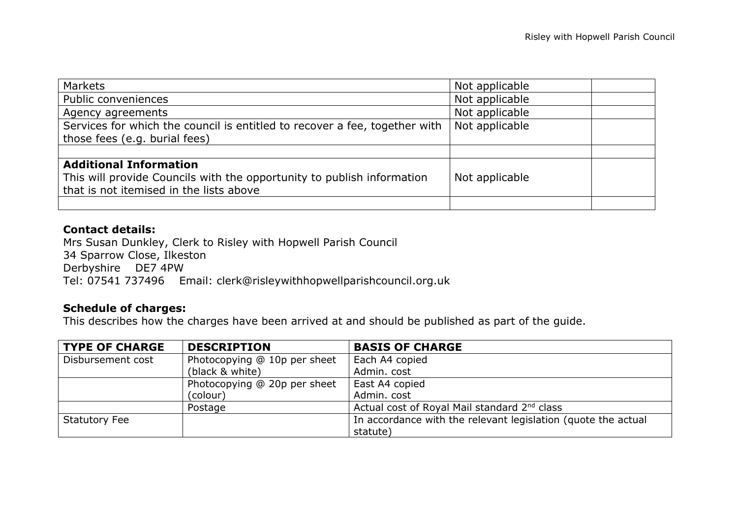| Markets                                                                    | Not applicable |  |
|----------------------------------------------------------------------------|----------------|--|
| Public conveniences                                                        | Not applicable |  |
| Agency agreements                                                          | Not applicable |  |
| Services for which the council is entitled to recover a fee, together with | Not applicable |  |
| those fees (e.g. burial fees)                                              |                |  |
|                                                                            |                |  |
| <b>Additional Information</b>                                              |                |  |
| This will provide Councils with the opportunity to publish information     | Not applicable |  |
| that is not itemised in the lists above                                    |                |  |
|                                                                            |                |  |

## **Contact details:**

Mrs Susan Dunkley, Clerk to Risley with Hopwell Parish Council 34 Sparrow Close, Ilkeston Derbyshire DE7 4PW Tel: 07541 737496 Email: clerk@risleywithhopwellparishcouncil.org.uk

## **Schedule of charges:**

This describes how the charges have been arrived at and should be published as part of the guide.

| <b>TYPE OF CHARGE</b> | <b>DESCRIPTION</b>           | <b>BASIS OF CHARGE</b>                                        |
|-----------------------|------------------------------|---------------------------------------------------------------|
| Disbursement cost     | Photocopying @ 10p per sheet | Each A4 copied                                                |
|                       | (black & white)              | Admin. cost                                                   |
|                       | Photocopying @ 20p per sheet | East A4 copied                                                |
|                       | (colour)                     | Admin. cost                                                   |
|                       | Postage                      | Actual cost of Royal Mail standard 2 <sup>nd</sup> class      |
| <b>Statutory Fee</b>  |                              | In accordance with the relevant legislation (quote the actual |
|                       |                              | statute)                                                      |